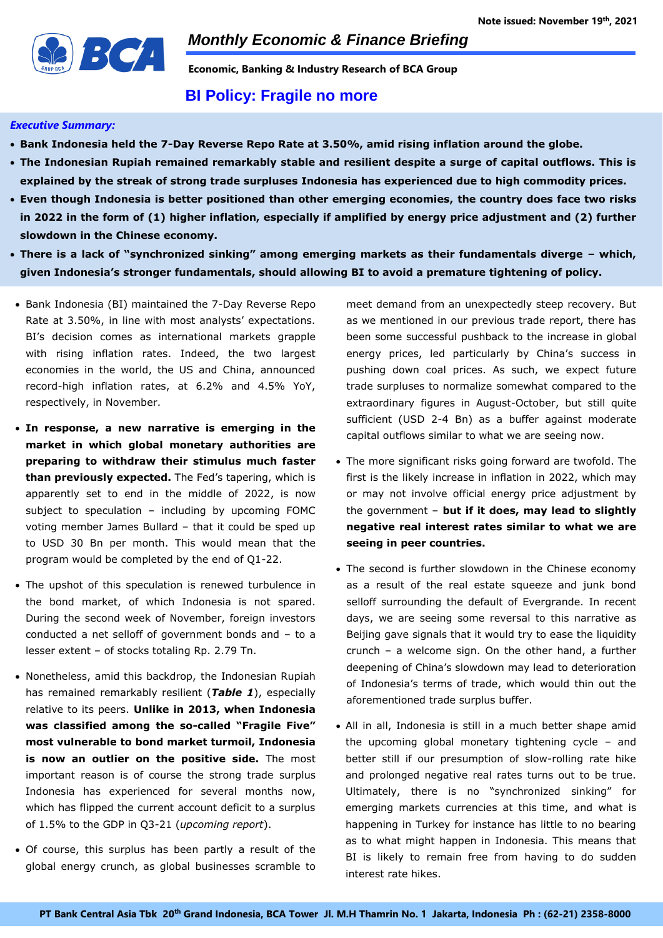

**Economic, Banking & Industry Research of BCA Group** 

## **BI Policy: Fragile no more**

### *Executive Summary:*

- **Bank Indonesia held the 7-Day Reverse Repo Rate at 3.50%, amid rising inflation around the globe.**
- **The Indonesian Rupiah remained remarkably stable and resilient despite a surge of capital outflows. This is explained by the streak of strong trade surpluses Indonesia has experienced due to high commodity prices.**
- **Even though Indonesia is better positioned than other emerging economies, the country does face two risks in 2022 in the form of (1) higher inflation, especially if amplified by energy price adjustment and (2) further slowdown in the Chinese economy.**
- **There is a lack of "synchronized sinking" among emerging markets as their fundamentals diverge – which, given Indonesia's stronger fundamentals, should allowing BI to avoid a premature tightening of policy.**
- Bank Indonesia (BI) maintained the 7-Day Reverse Repo Rate at 3.50%, in line with most analysts' expectations. BI's decision comes as international markets grapple with rising inflation rates. Indeed, the two largest economies in the world, the US and China, announced record-high inflation rates, at 6.2% and 4.5% YoY, respectively, in November.
- **In response, a new narrative is emerging in the market in which global monetary authorities are preparing to withdraw their stimulus much faster than previously expected.** The Fed's tapering, which is apparently set to end in the middle of 2022, is now subject to speculation – including by upcoming FOMC voting member James Bullard – that it could be sped up to USD 30 Bn per month. This would mean that the program would be completed by the end of Q1-22.
- The upshot of this speculation is renewed turbulence in the bond market, of which Indonesia is not spared. During the second week of November, foreign investors conducted a net selloff of government bonds and – to a lesser extent – of stocks totaling Rp. 2.79 Tn.
- Nonetheless, amid this backdrop, the Indonesian Rupiah has remained remarkably resilient (*Table 1*), especially relative to its peers. **Unlike in 2013, when Indonesia was classified among the so-called "Fragile Five" most vulnerable to bond market turmoil, Indonesia is now an outlier on the positive side.** The most important reason is of course the strong trade surplus Indonesia has experienced for several months now, which has flipped the current account deficit to a surplus of 1.5% to the GDP in Q3-21 (*upcoming report*).
- Of course, this surplus has been partly a result of the global energy crunch, as global businesses scramble to

meet demand from an unexpectedly steep recovery. But as we mentioned in our previous trade report, there has been some successful pushback to the increase in global energy prices, led particularly by China's success in pushing down coal prices. As such, we expect future trade surpluses to normalize somewhat compared to the extraordinary figures in August-October, but still quite sufficient (USD 2-4 Bn) as a buffer against moderate capital outflows similar to what we are seeing now.

- The more significant risks going forward are twofold. The first is the likely increase in inflation in 2022, which may or may not involve official energy price adjustment by the government – **but if it does, may lead to slightly negative real interest rates similar to what we are seeing in peer countries.**
- The second is further slowdown in the Chinese economy as a result of the real estate squeeze and junk bond selloff surrounding the default of Evergrande. In recent days, we are seeing some reversal to this narrative as Beijing gave signals that it would try to ease the liquidity crunch – a welcome sign. On the other hand, a further deepening of China's slowdown may lead to deterioration of Indonesia's terms of trade, which would thin out the aforementioned trade surplus buffer.
- All in all, Indonesia is still in a much better shape amid the upcoming global monetary tightening cycle – and better still if our presumption of slow-rolling rate hike and prolonged negative real rates turns out to be true. Ultimately, there is no "synchronized sinking" for emerging markets currencies at this time, and what is happening in Turkey for instance has little to no bearing as to what might happen in Indonesia. This means that BI is likely to remain free from having to do sudden interest rate hikes.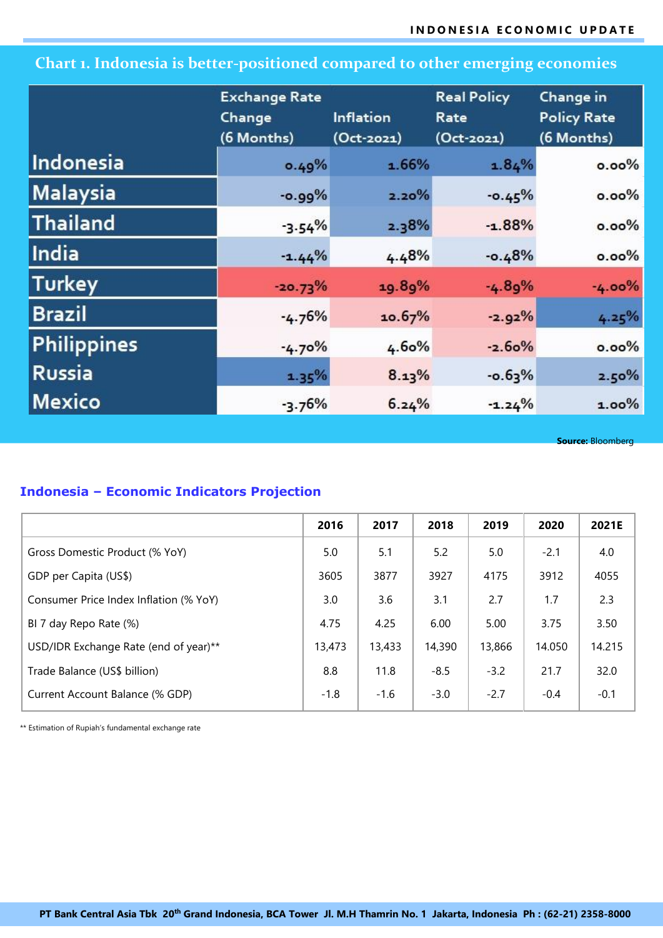# **Chart 1. Indonesia is better-positioned compared to other emerging economies**

|                    | <b>Exchange Rate</b> |                  | <b>Real Policy</b> | Change in<br><b>Policy Rate</b><br>(6 Months) |  |
|--------------------|----------------------|------------------|--------------------|-----------------------------------------------|--|
|                    | Change               | <b>Inflation</b> | Rate               |                                               |  |
|                    | (6 Months)           | $(Oct-2021)$     | $(Oct-2021)$       |                                               |  |
| Indonesia          | 0.49%                | 1.66%            | 1.84%              | $0.00\%$                                      |  |
| <b>Malaysia</b>    | $-0.99%$             | 2.20%            | $-0.45%$           | $0.00\%$                                      |  |
| <b>Thailand</b>    | $-3.54%$             | 2.38%            | $-1.88%$           | $0.00\%$                                      |  |
| <b>India</b>       | $-1.44%$             | 4.48%            | $-0.48%$           | $0.00\%$                                      |  |
| <b>Turkey</b>      | $-20.73%$            | 19.89%           | $-4.89%$           | $-4.00%$                                      |  |
| <b>Brazil</b>      | $-4.76%$             | 10.67%           | $-2.92%$           | 4.25%                                         |  |
| <b>Philippines</b> | $-4.70%$             | 4.60%            | $-2.60%$           | $0.00\%$                                      |  |
| <b>Russia</b>      | 1.35%                | 8.13%            | $-0.63%$           | 2.50%                                         |  |
| <b>Mexico</b>      | $-3.76%$             | 6.24%            | $-1.24%$           | $1.00\%$                                      |  |

**Source:** Bloomberg

## **Indonesia – Economic Indicators Projection**

|                                        | 2016   | 2017   | 2018   | 2019   | 2020   | 2021E  |
|----------------------------------------|--------|--------|--------|--------|--------|--------|
| Gross Domestic Product (% YoY)         | 5.0    | 5.1    | 5.2    | 5.0    | $-2.1$ | 4.0    |
| GDP per Capita (US\$)                  | 3605   | 3877   | 3927   | 4175   | 3912   | 4055   |
| Consumer Price Index Inflation (% YoY) | 3.0    | 3.6    | 3.1    | 2.7    | 1.7    | 2.3    |
| BI 7 day Repo Rate (%)                 | 4.75   | 4.25   | 6.00   | 5.00   | 3.75   | 3.50   |
| USD/IDR Exchange Rate (end of year)**  | 13,473 | 13,433 | 14,390 | 13,866 | 14.050 | 14.215 |
| Trade Balance (US\$ billion)           | 8.8    | 11.8   | $-8.5$ | $-3.2$ | 21.7   | 32.0   |
| Current Account Balance (% GDP)        | $-1.8$ | $-1.6$ | $-3.0$ | $-2.7$ | $-0.4$ | $-0.1$ |

\*\* Estimation of Rupiah's fundamental exchange rate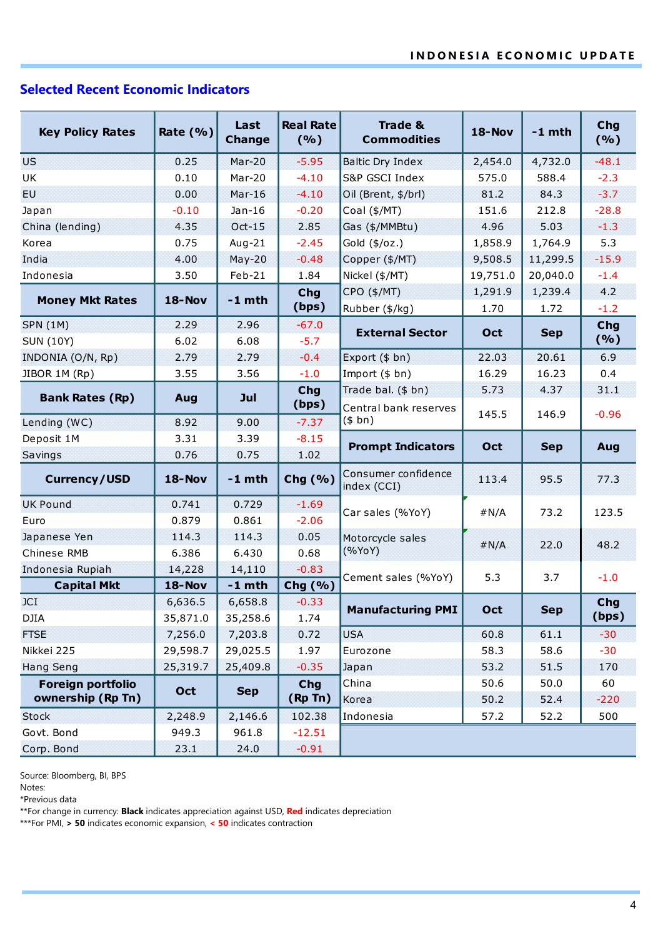# **Selected Recent Economic Indicators**

| <b>Key Policy Rates</b> | Rate $(% )$   | Last<br><b>Change</b> | <b>Real Rate</b><br>(%) | <b>Trade &amp;</b><br><b>Commodities</b> | <b>18-Nov</b> | $-1$ mth   | Chg<br>(%) |
|-------------------------|---------------|-----------------------|-------------------------|------------------------------------------|---------------|------------|------------|
| <b>US</b>               | 0.25          | $Mar-20$              | $-5.95$                 | <b>Baltic Dry Index</b>                  | 2,454.0       | 4,732.0    | $-48.1$    |
| UK                      | 0.10          | $Mar-20$              | $-4.10$                 | S&P GSCI Index                           | 575.0         | 588.4      | $-2.3$     |
| EU                      | 0.00          | $Mar-16$              | $-4.10$                 | Oil (Brent, \$/brl)                      | 81.2          | 84.3       | $-3.7$     |
| Japan                   | $-0.10$       | $Jan-16$              | $-0.20$                 | Coal (\$/MT)                             | 151.6         | 212.8      | $-28.8$    |
| China (lending)         | 4.35          | $Oct-15$              | 2.85                    | Gas (\$/MMBtu)                           | 4.96          | 5.03       | $-1.3$     |
| Korea                   | 0.75          | Aug- $21$             | $-2.45$                 | Gold $(\frac{4}{6}$ /oz.)                | 1,858.9       | 1,764.9    | 5.3        |
| India                   | 4.00          | $May-20$              | $-0.48$                 | Copper (\$/MT)                           | 9,508.5       | 11,299.5   | $-15.9$    |
| Indonesia               | 3.50          | Feb-21                | 1.84                    | Nickel (\$/MT)                           | 19,751.0      | 20,040.0   | $-1.4$     |
| <b>Money Mkt Rates</b>  | 18-Nov        | $-1$ mth              | Chg                     | CPO (\$/MT)                              | 1,291.9       | 1,239.4    | 4.2        |
|                         |               |                       | (bps)                   | Rubber (\$/kg)                           | 1.70          | 1.72       | $-1.2$     |
| <b>SPN (1M)</b>         | 2.29          | 2.96                  | $-67.0$                 | <b>External Sector</b>                   | Oct           | <b>Sep</b> | Chg<br>(%) |
| <b>SUN (10Y)</b>        | 6.02          | 6.08                  | $-5.7$                  |                                          |               |            |            |
| INDONIA (O/N, Rp)       | 2.79          | 2.79                  | $-0.4$                  | Export (\$ bn)                           | 22.03         | 20.61      | 6.9        |
| JIBOR 1M (Rp)           | 3.55          | 3.56                  | $-1.0$                  | Import $($bn)$                           | 16.29         | 16.23      | 0.4        |
| <b>Bank Rates (Rp)</b>  | Aug           | Jul                   | Chg<br>(bps)            | Trade bal. (\$ bn)                       | 5.73          | 4.37       | 31.1       |
| Lending (WC)            | 8.92          | 9.00                  | $-7.37$                 | Central bank reserves<br>(\$bn)          | 145.5         | 146.9      | $-0.96$    |
| Deposit 1M              | 3.31          | 3.39                  | $-8.15$                 |                                          |               |            |            |
| Savings                 | 0.76          | 0.75                  | 1.02                    | <b>Prompt Indicators</b>                 | Oct           | <b>Sep</b> | Aug        |
| <b>Currency/USD</b>     | 18-Nov        | $-1$ mth              | Chg (%)                 | Consumer confidence<br>index (CCI)       | 113.4         | 95.5       | 77.3       |
| <b>UK Pound</b>         | 0.741         | 0.729                 | $-1.69$                 | Car sales (%YoY)                         | # N/A         | 73.2       | 123.5      |
| Euro                    | 0.879         | 0.861                 | $-2.06$                 |                                          |               |            |            |
| Japanese Yen            | 114.3         | 114.3                 | 0.05                    | Motorcycle sales                         | # N/A         | 22.0       | 48.2       |
| Chinese RMB             | 6.386         | 6.430                 | 0.68                    | (%YoY)                                   |               |            |            |
| Indonesia Rupiah        | 14,228        | 14,110                | $-0.83$                 | Cement sales (%YoY)                      | 5.3           | 3.7        | $-1.0$     |
| <b>Capital Mkt</b>      | <b>18-Nov</b> | $-1$ mth              | Chg (%)                 |                                          |               |            |            |
| JCI                     | 6,636.5       | 6,658.8               | $-0.33$                 | <b>Manufacturing PMI</b>                 | Oct           | <b>Sep</b> | Chg        |
| <b>DJIA</b>             | 35,871.0      | 35,258.6              | 1.74                    |                                          |               |            | (bps)      |
| <b>FTSE</b>             | 7,256.0       | 7,203.8               | 0.72                    | <b>USA</b>                               | 60.8          | 61.1       | $-30$      |
| Nikkei 225              | 29,598.7      | 29,025.5              | 1.97                    | 58.3<br>58.6<br>Eurozone                 |               | $-30$      |            |
| <b>Hang Seng</b>        | 25,319.7      | 25,409.8              | $-0.35$                 | Japan                                    | 53.2          | 51.5       | 170        |
| Foreign portfolio       | Oct           | <b>Sep</b>            | <b>Chg</b>              | China                                    | 50.6          | 50.0       | 60         |
| ownership (Rp Tn)       |               |                       | (Rp Tn)                 | Korea                                    | 50.2          | 52.4       | $-220$     |
| <b>Stock</b>            | 2,248.9       | 2,146.6               | 102.38                  | Indonesia                                | 57.2          | 52.2       | 500        |
| Govt. Bond              | 949.3         | 961.8                 | $-12.51$                |                                          |               |            |            |
| Corp. Bond              | 23.1          | 24.0                  | $-0.91$                 |                                          |               |            |            |

Source: Bloomberg, BI, BPS

Notes:

\*Previous data

\*\*For change in currency: **Black** indicates appreciation against USD, **Red** indicates depreciation

\*\*\*For PMI, **> 50** indicates economic expansion, **< 50** indicates contraction